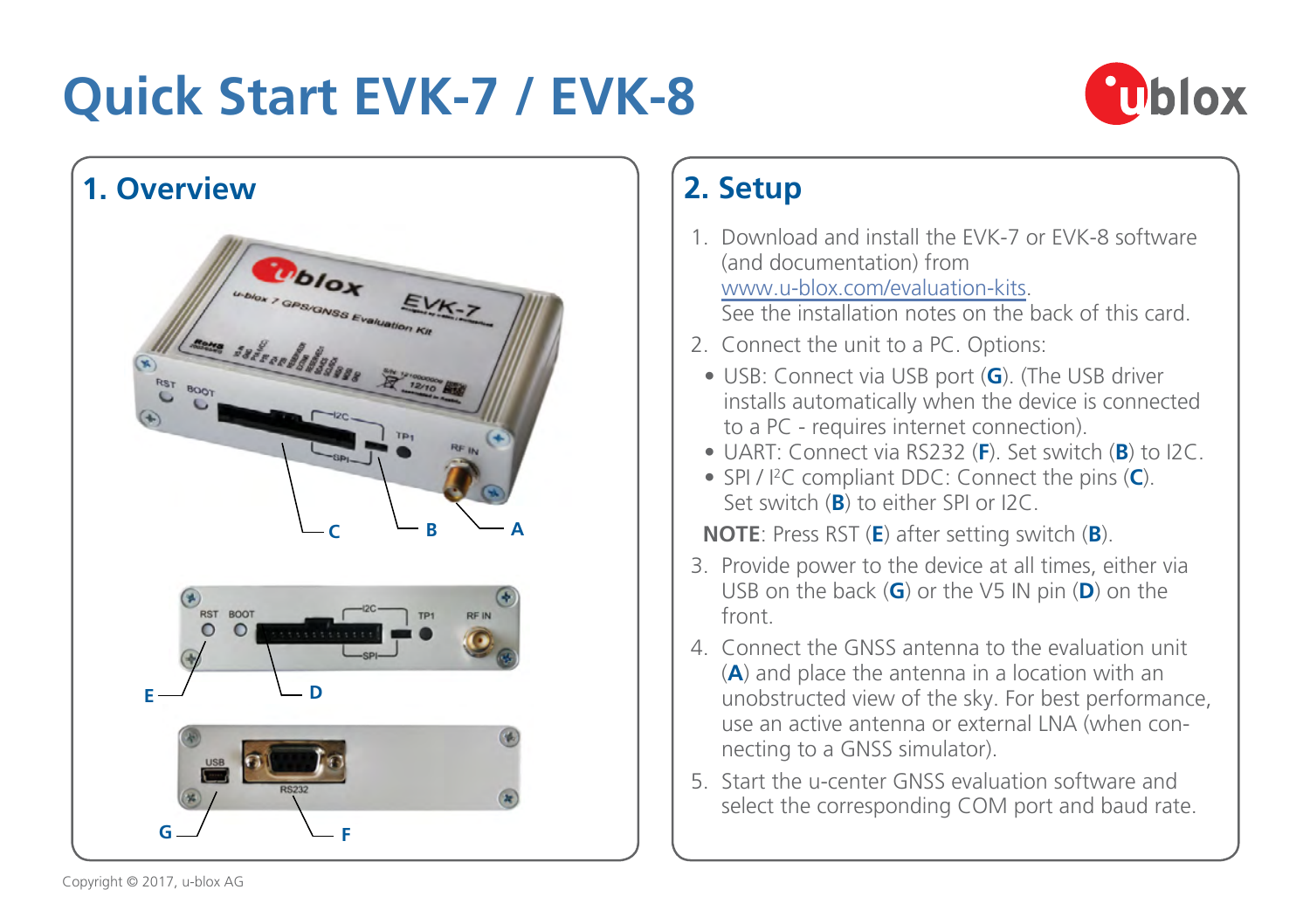# **Quick Start EVK-7 / EVK-8**





## **2. Setup**

- 1. Download and install the EVK-7 or EVK-8 software (and documentation) from [www.u-blox.com/evaluation-kits](http://www.u-blox.com/evaluation-kits). See the installation notes on the back of this card.
- 2. Connect the unit to a PC. Options:
- USB: Connect via USB port (**G**). (The USB driver installs automatically when the device is connected to a PC - requires internet connection).
- UART: Connect via RS232 (**F**). Set switch (**B**) to I2C.
- SPI / I2 C compliant DDC: Connect the pins (**C**). Set switch (**B**) to either SPI or I2C.

 **NOTE**: Press RST (**E**) after setting switch (**B**).

- 3. Provide power to the device at all times, either via USB on the back (**G**) or the V5 IN pin (**D**) on the front.
- 4. Connect the GNSS antenna to the evaluation unit (**A**) and place the antenna in a location with an unobstructed view of the sky. For best performance, use an active antenna or external LNA (when connecting to a GNSS simulator).
- 5. Start the u-center GNSS evaluation software and select the corresponding COM port and baud rate.